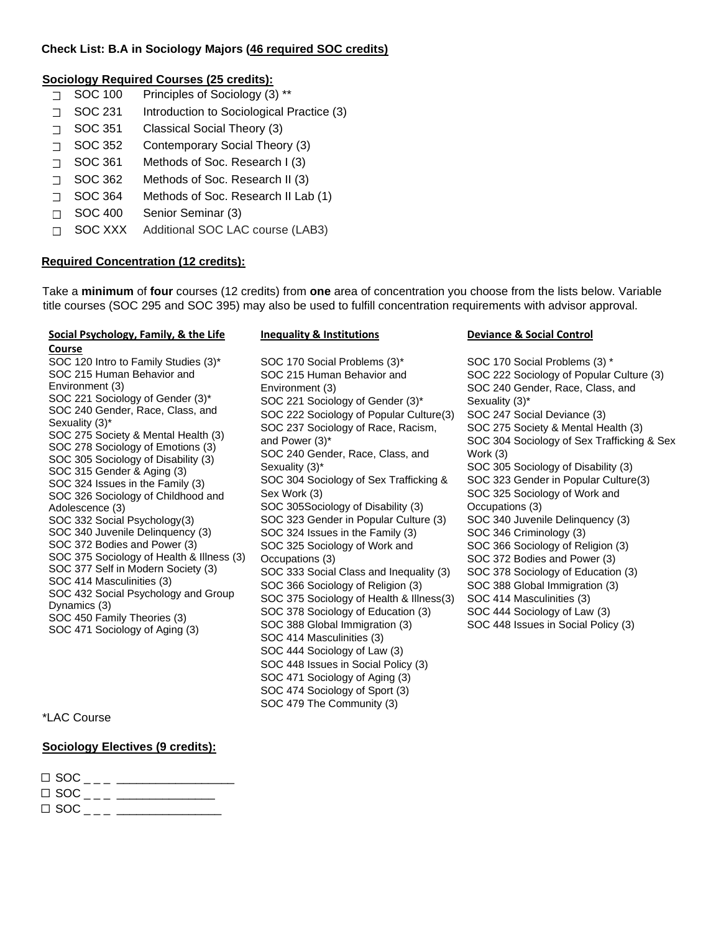#### **Check List: B.A in Sociology Majors (46 required SOC credits)**

## **Sociology Required Courses (25 credits):**

- SOC 100 Principles of Sociology (3) \*\*
- SOC 231 Introduction to Sociological Practice (3)
- ⃣ SOC 351 Classical Social Theory (3)
- ⃣ SOC 352 Contemporary Social Theory (3)
- ⃣ SOC 361 Methods of Soc. Research I (3)
- ⃣ SOC 362 Methods of Soc. Research II (3)
- ⃣ SOC 364 Methods of Soc. Research II Lab (1)
- ⃣ SOC 400 Senior Seminar (3)
- ⃣ SOC XXX Additional SOC LAC course (LAB3)

# **Required Concentration (12 credits):**

Take a **minimum** of **four** courses (12 credits) from **one** area of concentration you choose from the lists below. Variable title courses (SOC 295 and SOC 395) may also be used to fulfill concentration requirements with advisor approval.

#### **Social Psychology, Family, & the Life Course**

#### SOC 120 Intro to Family Studies (3)\* SOC 215 Human Behavior and Environment (3) SOC 221 Sociology of Gender (3)\* SOC 240 Gender, Race, Class, and Sexuality (3)\* SOC 275 Society & Mental Health (3) SOC 278 Sociology of Emotions (3) SOC 305 Sociology of Disability (3) SOC 315 Gender & Aging (3) SOC 324 Issues in the Family (3) SOC 326 Sociology of Childhood and Adolescence (3) SOC 332 Social Psychology(3) SOC 340 Juvenile Delinquency (3) SOC 372 Bodies and Power (3) SOC 375 Sociology of Health & Illness (3) SOC 377 Self in Modern Society (3) SOC 414 Masculinities (3) SOC 432 Social Psychology and Group Dynamics (3) SOC 450 Family Theories (3) SOC 471 Sociology of Aging (3)

# \*LAC Course

# **Sociology Electives (9 credits):**

| $\Box$ SOC _ _ _ _ _______ |  |
|----------------------------|--|
| $\Box$ SOC $\Box$          |  |

SOC 170 Social Problems (3)\* SOC 215 Human Behavior and Environment (3) SOC 221 Sociology of Gender (3)\* SOC 222 Sociology of Popular Culture(3) SOC 237 Sociology of Race, Racism, and Power (3)\* SOC 240 Gender, Race, Class, and Sexuality (3)\* SOC 304 Sociology of Sex Trafficking & Sex Work (3) SOC 305Sociology of Disability (3) SOC 323 Gender in Popular Culture (3) SOC 324 Issues in the Family (3) SOC 325 Sociology of Work and Occupations (3) SOC 333 Social Class and Inequality (3) SOC 366 Sociology of Religion (3) SOC 375 Sociology of Health & Illness(3) SOC 378 Sociology of Education (3) SOC 388 Global Immigration (3) SOC 414 Masculinities (3) SOC 444 Sociology of Law (3) SOC 448 Issues in Social Policy (3) SOC 471 Sociology of Aging (3) SOC 474 Sociology of Sport (3) SOC 479 The Community (3)

### **Inequality & Institutions Deviance & Social Control**

SOC 170 Social Problems (3) \* SOC 222 Sociology of Popular Culture (3) SOC 240 Gender, Race, Class, and Sexuality (3)\* SOC 247 Social Deviance (3) SOC 275 Society & Mental Health (3) SOC 304 Sociology of Sex Trafficking & Sex Work (3) SOC 305 Sociology of Disability (3) SOC 323 Gender in Popular Culture(3) SOC 325 Sociology of Work and Occupations (3) SOC 340 Juvenile Delinquency (3) SOC 346 Criminology (3) SOC 366 Sociology of Religion (3) SOC 372 Bodies and Power (3) SOC 378 Sociology of Education (3) SOC 388 Global Immigration (3) SOC 414 Masculinities (3) SOC 444 Sociology of Law (3) SOC 448 Issues in Social Policy (3)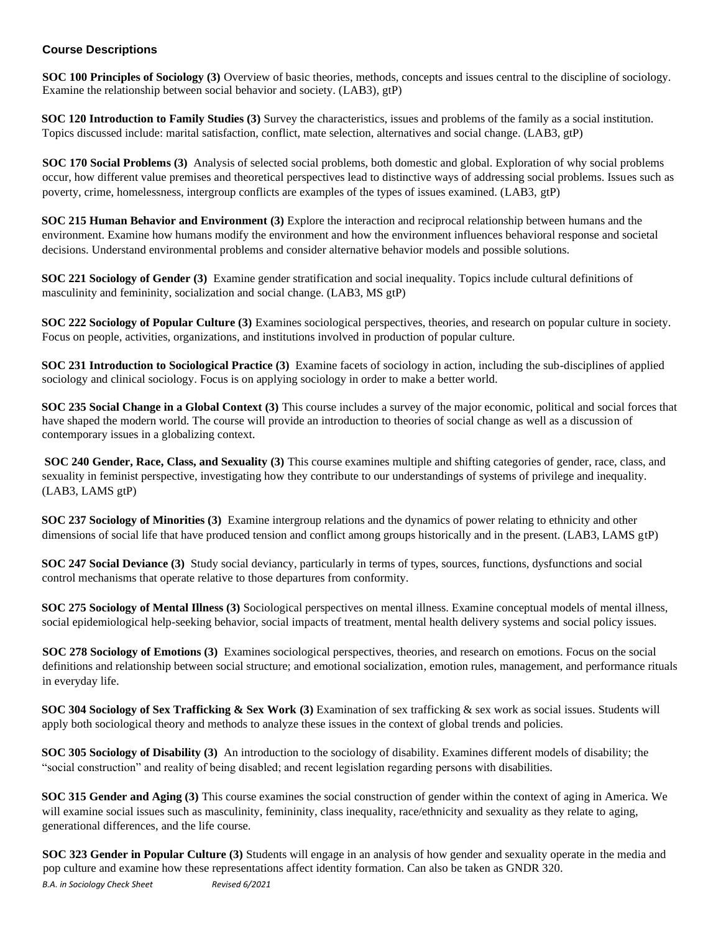#### **Course Descriptions**

**SOC 100 Principles of Sociology (3)** Overview of basic theories, methods, concepts and issues central to the discipline of sociology. Examine the relationship between social behavior and society. (LAB3), gtP)

**SOC 120 Introduction to Family Studies (3)** Survey the characteristics, issues and problems of the family as a social institution. Topics discussed include: marital satisfaction, conflict, mate selection, alternatives and social change. (LAB3, gtP)

**SOC 170 Social Problems (3)** Analysis of selected social problems, both domestic and global. Exploration of why social problems occur, how different value premises and theoretical perspectives lead to distinctive ways of addressing social problems. Issues such as poverty, crime, homelessness, intergroup conflicts are examples of the types of issues examined. (LAB3, gtP)

**SOC 215 Human Behavior and Environment (3)** Explore the interaction and reciprocal relationship between humans and the environment. Examine how humans modify the environment and how the environment influences behavioral response and societal decisions. Understand environmental problems and consider alternative behavior models and possible solutions.

**SOC 221 Sociology of Gender (3)** Examine gender stratification and social inequality. Topics include cultural definitions of masculinity and femininity, socialization and social change. (LAB3, MS gtP)

**SOC 222 Sociology of Popular Culture (3)** Examines sociological perspectives, theories, and research on popular culture in society. Focus on people, activities, organizations, and institutions involved in production of popular culture.

**SOC 231 Introduction to Sociological Practice (3)** Examine facets of sociology in action, including the sub-disciplines of applied sociology and clinical sociology. Focus is on applying sociology in order to make a better world.

**SOC 235 Social Change in a Global Context (3)** This course includes a survey of the major economic, political and social forces that have shaped the modern world. The course will provide an introduction to theories of social change as well as a discussion of contemporary issues in a globalizing context.

**SOC 240 Gender, Race, Class, and Sexuality (3)** This course examines multiple and shifting categories of gender, race, class, and sexuality in feminist perspective, investigating how they contribute to our understandings of systems of privilege and inequality. (LAB3, LAMS gtP)

**SOC 237 Sociology of Minorities (3)** Examine intergroup relations and the dynamics of power relating to ethnicity and other dimensions of social life that have produced tension and conflict among groups historically and in the present. (LAB3, LAMS gtP)

**SOC 247 Social Deviance (3)** Study social deviancy, particularly in terms of types, sources, functions, dysfunctions and social control mechanisms that operate relative to those departures from conformity.

**SOC 275 Sociology of Mental Illness (3)** Sociological perspectives on mental illness. Examine conceptual models of mental illness, social epidemiological help-seeking behavior, social impacts of treatment, mental health delivery systems and social policy issues.

**SOC 278 Sociology of Emotions (3)** Examines sociological perspectives, theories, and research on emotions. Focus on the social definitions and relationship between social structure; and emotional socialization, emotion rules, management, and performance rituals in everyday life.

**SOC 304 Sociology of Sex Trafficking & Sex Work (3)** Examination of sex trafficking & sex work as social issues. Students will apply both sociological theory and methods to analyze these issues in the context of global trends and policies.

**SOC 305 Sociology of Disability (3)** An introduction to the sociology of disability. Examines different models of disability; the "social construction" and reality of being disabled; and recent legislation regarding persons with disabilities.

**SOC 315 Gender and Aging (3)** This course examines the social construction of gender within the context of aging in America. We will examine social issues such as masculinity, femininity, class inequality, race/ethnicity and sexuality as they relate to aging, generational differences, and the life course.

**SOC 323 Gender in Popular Culture (3)** Students will engage in an analysis of how gender and sexuality operate in the media and pop culture and examine how these representations affect identity formation. Can also be taken as GNDR 320.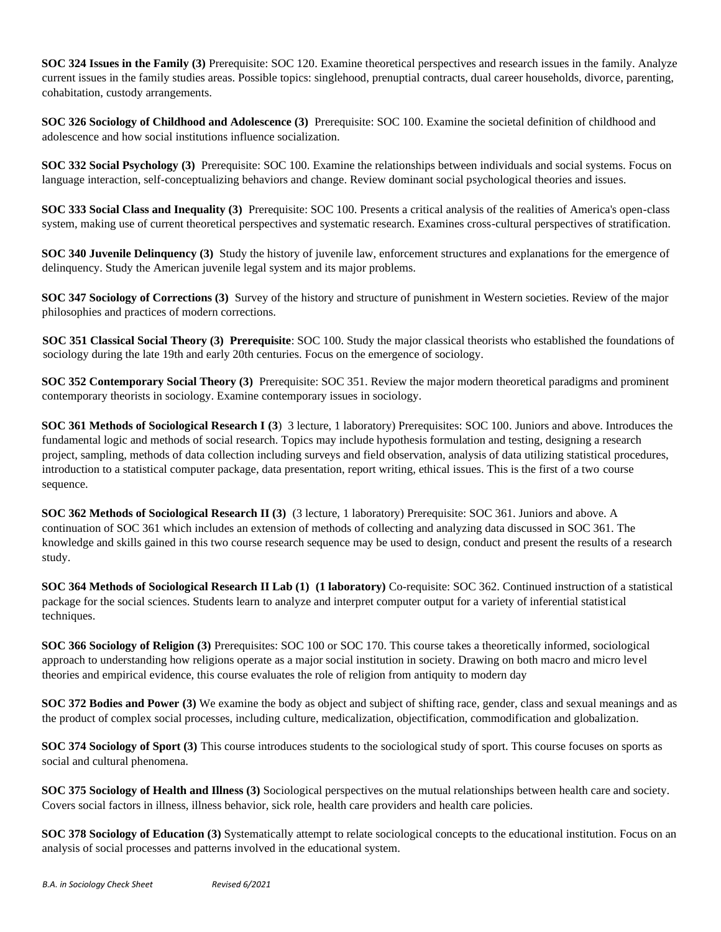**SOC 324 Issues in the Family (3)** Prerequisite: SOC 120. Examine theoretical perspectives and research issues in the family. Analyze current issues in the family studies areas. Possible topics: singlehood, prenuptial contracts, dual career households, divorce, parenting, cohabitation, custody arrangements.

**SOC 326 Sociology of Childhood and Adolescence (3)** Prerequisite: SOC 100. Examine the societal definition of childhood and adolescence and how social institutions influence socialization.

**SOC 332 Social Psychology (3)** Prerequisite: SOC 100. Examine the relationships between individuals and social systems. Focus on language interaction, self-conceptualizing behaviors and change. Review dominant social psychological theories and issues.

**SOC 333 Social Class and Inequality (3)** Prerequisite: SOC 100. Presents a critical analysis of the realities of America's open-class system, making use of current theoretical perspectives and systematic research. Examines cross-cultural perspectives of stratification.

**SOC 340 Juvenile Delinquency (3)** Study the history of juvenile law, enforcement structures and explanations for the emergence of delinquency. Study the American juvenile legal system and its major problems.

**SOC 347 Sociology of Corrections (3)** Survey of the history and structure of punishment in Western societies. Review of the major philosophies and practices of modern corrections.

**SOC 351 Classical Social Theory (3) Prerequisite**: SOC 100. Study the major classical theorists who established the foundations of sociology during the late 19th and early 20th centuries. Focus on the emergence of sociology.

**SOC 352 Contemporary Social Theory (3)** Prerequisite: SOC 351. Review the major modern theoretical paradigms and prominent contemporary theorists in sociology. Examine contemporary issues in sociology.

**SOC 361 Methods of Sociological Research I (3)** 3 lecture, 1 laboratory) Prerequisites: SOC 100. Juniors and above. Introduces the fundamental logic and methods of social research. Topics may include hypothesis formulation and testing, designing a research project, sampling, methods of data collection including surveys and field observation, analysis of data utilizing statistical procedures, introduction to a statistical computer package, data presentation, report writing, ethical issues. This is the first of a two course sequence.

**SOC 362 Methods of Sociological Research II (3)** (3 lecture, 1 laboratory) Prerequisite: SOC 361. Juniors and above. A continuation of SOC 361 which includes an extension of methods of collecting and analyzing data discussed in SOC 361. The knowledge and skills gained in this two course research sequence may be used to design, conduct and present the results of a research study.

**SOC 364 Methods of Sociological Research II Lab (1) (1 laboratory)** Co-requisite: SOC 362. Continued instruction of a statistical package for the social sciences. Students learn to analyze and interpret computer output for a variety of inferential statistical techniques.

**SOC 366 Sociology of Religion (3)** Prerequisites: SOC 100 or SOC 170. This course takes a theoretically informed, sociological approach to understanding how religions operate as a major social institution in society. Drawing on both macro and micro level theories and empirical evidence, this course evaluates the role of religion from antiquity to modern day

**SOC 372 Bodies and Power (3)** We examine the body as object and subject of shifting race, gender, class and sexual meanings and as the product of complex social processes, including culture, medicalization, objectification, commodification and globalization.

**SOC 374 Sociology of Sport (3)** This course introduces students to the sociological study of sport. This course focuses on sports as social and cultural phenomena.

**SOC 375 Sociology of Health and Illness (3)** Sociological perspectives on the mutual relationships between health care and society. Covers social factors in illness, illness behavior, sick role, health care providers and health care policies.

**SOC 378 Sociology of Education (3)** Systematically attempt to relate sociological concepts to the educational institution. Focus on an analysis of social processes and patterns involved in the educational system.